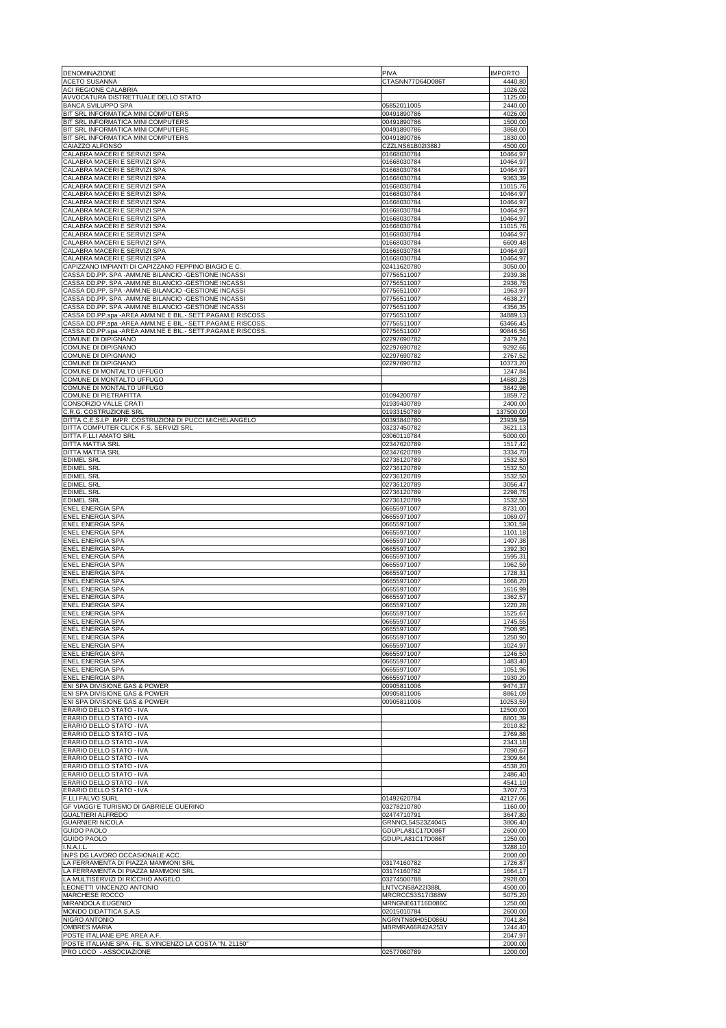| DENOMINAZIONE                                                                                                           | PIVA                                 | <b>IMPORTO</b>       |
|-------------------------------------------------------------------------------------------------------------------------|--------------------------------------|----------------------|
| <b>ACETO SUSANNA</b><br>ACI REGIONE CALABRIA                                                                            | CTASNN77D64D086T                     | 4440,80<br>1026,02   |
| AVVOCATURA DISTRETTUALE DELLO STATO                                                                                     |                                      | 1125,00<br>2440.00   |
| <b>BANCA SVILUPPO SPA</b><br>BIT SRL INFORMATICA MINI COMPUTERS                                                         | 05852011005<br>00491890786           | 4026,00              |
| BIT SRL INFORMATICA MINI COMPUTERS                                                                                      | 00491890786                          | 1500,00              |
| BIT SRL INFORMATICA MINI COMPUTERS<br>BIT SRL INFORMATICA MINI COMPUTERS                                                | 00491890786<br>00491890786           | 3868,00<br>1830,00   |
| CAIAZZO ALFONSO                                                                                                         | CZZLNS61B02I388J                     | 4500,00              |
| CALABRA MACERI E SERVIZI SPA<br>CALABRA MACERI E SERVIZI SPA                                                            | 01668030784<br>01668030784           | 10464,97<br>10464,97 |
| CALABRA MACERI E SERVIZI SPA                                                                                            | 01668030784                          | 10464,97             |
| CALABRA MACERI E SERVIZI SPA<br>CALABRA MACERI E SERVIZI SPA                                                            | 01668030784<br>01668030784           | 9363,39<br>11015,76  |
| CALABRA MACERI E SERVIZI SPA                                                                                            | 01668030784                          | 10464,97             |
| CALABRA MACERI E SERVIZI SPA<br>CALABRA MACERI E SERVIZI SPA                                                            | 01668030784<br>01668030784           | 10464,97<br>10464,97 |
| CALABRA MACERI E SERVIZI SPA                                                                                            | 01668030784                          | 10464,97             |
| CALABRA MACERI E SERVIZI SPA<br>CALABRA MACERI E SERVIZI SPA                                                            | 01668030784<br>01668030784           | 11015,76<br>10464,97 |
| CALABRA MACERI E SERVIZI SPA                                                                                            | 01668030784                          | 6609,48              |
| CALABRA MACERI E SERVIZI SPA<br>CALABRA MACERI E SERVIZI SPA                                                            | 01668030784<br>01668030784           | 10464,97<br>10464,97 |
| CAPIZZANO IMPIANTI DI CAPIZZANO PEPPINO BIAGIO E C                                                                      | 02411620780                          | 3050,00              |
| CASSA DD.PP. SPA -AMM.NE BILANCIO -GESTIONE INCASSI<br>CASSA DD.PP. SPA -AMM.NE BILANCIO -GESTIONE INCASSI              | 07756511007<br>07756511007           | 2939,38<br>2936,76   |
| CASSA DD.PP. SPA -AMM.NE BILANCIO -GESTIONE INCASSI                                                                     | 07756511007                          | 1963,97              |
| CASSA DD.PP. SPA -AMM.NE BILANCIO -GESTIONE INCASSI<br>CASSA DD.PP. SPA -AMM.NE BILANCIO -GESTIONE INCASSI              | 07756511007<br>07756511007           | 4638,27<br>4356,35   |
| CASSA DD.PP.spa -AREA AMM.NE E BIL.- SETT.PAGAM.E RISCOSS                                                               | 07756511007                          | 34889,13             |
| CASSA DD.PP.spa -AREA AMM.NE E BIL.- SETT.PAGAM.E RISCOSS.<br>CASSA DD.PP.spa -AREA AMM.NE E BIL.- SETT.PAGAM.E RISCOSS | 07756511007<br>07756511007           | 63466,45<br>90846,56 |
| COMUNE DI DIPIGNANO                                                                                                     | 02297690782                          | 2479,24              |
| COMUNE DI DIPIGNANO<br>COMUNE DI DIPIGNANO                                                                              | 02297690782<br>02297690782           | 9292,66<br>2767,52   |
| COMUNE DI DIPIGNANO                                                                                                     | 02297690782                          | 10373,20             |
| COMUNE DI MONTALTO UFFUGO<br>COMUNE DI MONTALTO UFFUGO                                                                  |                                      | 1247,84<br>14680,28  |
| COMUNE DI MONTALTO UFFUGO                                                                                               |                                      | 3842,98              |
| <b>COMUNE DI PIETRAFITTA</b><br>CONSORZIO VALLE CRATI                                                                   | 01094200787<br>01939430789           | 1859,72<br>2400,00   |
| C.R.G. COSTRUZIONE SRL                                                                                                  | 01933150789                          | 137500,00            |
| DITTA C.E.S.I.P. IMPR. COSTRUZIONI DI PUCCI MICHELANGELO                                                                | 00393840780                          | 23939,59             |
| DITTA COMPUTER CLICK F.S. SERVIZI SRL<br>DITTA F.LLI AMATO SRL                                                          | 03237450782<br>03060110784           | 3621,13<br>5000,00   |
| DITTA MATTIA SRL                                                                                                        | 02347620789                          | 1517,42              |
| DITTA MATTIA SRI<br><b>EDIMEL SRL</b>                                                                                   | 02347620789<br>02736120789           | 3334,70<br>1532,50   |
| <b>EDIMEL SRL</b>                                                                                                       | 02736120789                          | 1532,50              |
| <b>EDIMEL SRL</b><br><b>EDIMEL SRL</b>                                                                                  | 02736120789<br>02736120789           | 1532,50<br>3056,47   |
| <b>EDIMEL SRL</b>                                                                                                       | 02736120789                          | 2298,76              |
| <b>EDIMEL SRL</b><br><b>ENEL ENERGIA SPA</b>                                                                            | 02736120789<br>06655971007           | 1532,50<br>8731,00   |
| <b>ENEL ENERGIA SPA</b>                                                                                                 | 06655971007                          | 1069,07              |
| <b>ENEL ENERGIA SPA</b><br><b>ENEL ENERGIA SPA</b>                                                                      | 06655971007<br>06655971007           | 1301,59<br>1101,18   |
| <b>ENEL ENERGIA SPA</b>                                                                                                 | 06655971007                          | 1407,38              |
| <b>ENEL ENERGIA SPA</b><br><b>ENEL ENERGIA SPA</b>                                                                      | 06655971007<br>06655971007           | 1392,30<br>1595,31   |
| <b>ENEL ENERGIA SPA</b>                                                                                                 | 06655971007                          | 1962,59              |
| <b>ENEL ENERGIA SPA</b><br><b>ENEL ENERGIA SPA</b>                                                                      | 06655971007<br>06655971007           | 1728,31<br>1666,20   |
| ENEL ENERGIA SPA                                                                                                        | 06655971007                          | 1616,99              |
| <b>ENEL ENERGIA SPA</b><br><b>ENEL ENERGIA SPA</b>                                                                      | 06655971007<br>06655971007           | 1362,57<br>1220,28   |
| <b>ENEL ENERGIA SPA</b>                                                                                                 | 06655971007                          | 1525.67              |
| <b>ENEL ENERGIA SPA</b><br>ENEL ENERGIA SPA                                                                             | 06655971007<br>06655971007           | 1745,55<br>7508,95   |
| <b>ENEL ENERGIA SPA</b>                                                                                                 | 06655971007                          | 1250,90              |
| <b>ENEL ENERGIA SPA</b><br><b>ENEL ENERGIA SPA</b>                                                                      | 06655971007<br>06655971007           | 1024,97<br>1246,50   |
| <b>ENEL ENERGIA SPA</b>                                                                                                 | 06655971007                          | 1483,40              |
| ENEL ENERGIA SPA<br><b>ENEL ENERGIA SPA</b>                                                                             | 06655971007<br>06655971007           | 1051,96<br>1930,20   |
| ENI SPA DIVISIONE GAS & POWER                                                                                           | 00905811006                          | 9474,37              |
| ENI SPA DIVISIONE GAS & POWER<br>ENI SPA DIVISIONE GAS & POWER                                                          | 00905811006<br>00905811006           | 8861,09<br>10253,59  |
| ERARIO DELLO STATO - IVA                                                                                                |                                      | 12500.00             |
| ERARIO DELLO STATO - IVA<br>ERARIO DELLO STATO - IVA                                                                    |                                      | 8801,39<br>2010.82   |
| ERARIO DELLO STATO - IVA                                                                                                |                                      | 2769,88              |
| ERARIO DELLO STATO - IVA<br>ERARIO DELLO STATO - IVA                                                                    |                                      | 2343,18<br>7090,67   |
| ERARIO DELLO STATO - IVA                                                                                                |                                      | 2309,64              |
| ERARIO DELLO STATO - IVA<br>ERARIO DELLO STATO - IVA                                                                    |                                      | 4538,20<br>2486,40   |
| ERARIO DELLO STATO - IVA                                                                                                |                                      | 4541,10              |
| ERARIO DELLO STATO - IVA<br>F.LLI FALVO SURL                                                                            | 01492620784                          | 3707,73<br>42127,06  |
| GF VIAGGI E TURISMO DI GABRIELE GUERINO                                                                                 | 03278210780                          | 1160,00              |
| <b>GUALTIERI ALFREDO</b><br><b>GUARNIERI NICOLA</b>                                                                     | 02474710791<br>GRNNCL54S23Z404G      | 3647,80<br>3806,40   |
| <b>GUIDO PAOLO</b>                                                                                                      | GDUPLA81C17D086T                     | 2600,00              |
| <b>GUIDO PAOLO</b><br>I.N.A.I.L                                                                                         | GDUPLA81C17D086T                     | 1250,00<br>3288,10   |
| INPS DG LAVORO OCCASIONALE ACC                                                                                          |                                      | 2000,00              |
| LA FERRAMENTA DI PIAZZA MAMMONI SRL<br>LA FERRAMENTA DI PIAZZA MAMMONI SRL                                              | 03174160782<br>03174160782           | 1726,87<br>1664,17   |
| LA MULTISERVIZI DI RICCHIO ANGELO                                                                                       | 03274500788                          | 2928,00              |
| LEONETTI VINCENZO ANTONIO<br>MARCHESE ROCCO                                                                             | LNTVCN58A22I388I<br>MRCRCC53S17I388W | 4500,00<br>5075,20   |
| MIRANDOLA EUGENIO                                                                                                       | MRNGNE61T16D086C                     | 1250,00              |
| MONDO DIDATTICA S.A.S<br>NIGRO ANTONIO                                                                                  | 02015010784<br>NGRNTN80H05D086U      | 2600,00<br>7041,84   |
| <b>OMBRES MARIA</b>                                                                                                     | MBRMRA66R42A253Y                     | 1244,40              |
| POSTE ITALIANE EPE AREA A.F.<br>POSTE ITALIANE SPA - FIL. S.VINCENZO LA COSTA "N. 21150"                                |                                      | 2047,97<br>2000,00   |
| PRO LOCO - ASSOCIAZIONE                                                                                                 | 02577060789                          | 1200,00              |